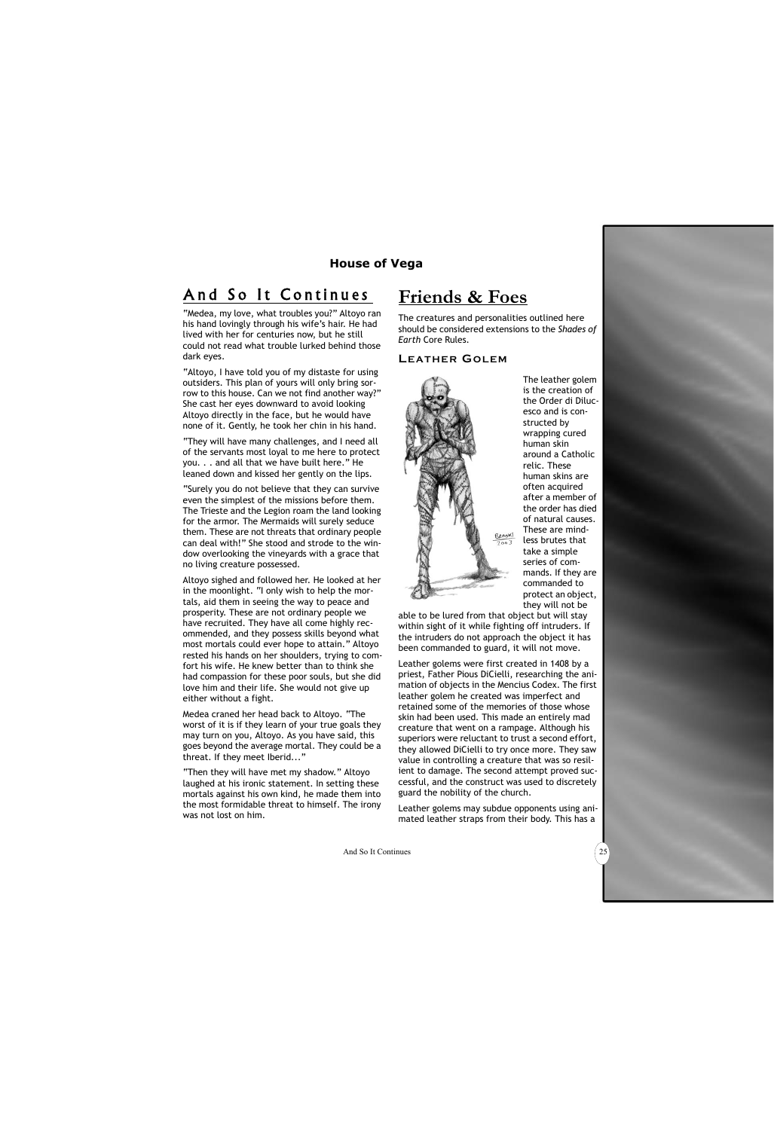# And So It Continues

"Medea, my love, what troubles you?" Altoyo ran his hand lovingly through his wife's hair. He had lived with her for centuries now, but he still could not read what trouble lurked behind those dark eyes.

"Altoyo, I have told you of my distaste for using outsiders. This plan of yours will only bring sorrow to this house. Can we not find another way?" She cast her eyes downward to avoid looking Altoyo directly in the face, but he would have none of it. Gently, he took her chin in his hand.

"They will have many challenges, and I need all of the servants most loyal to me here to protect you. . . and all that we have built here." He leaned down and kissed her gently on the lips.

"Surely you do not believe that they can survive even the simplest of the missions before them. The Trieste and the Legion roam the land looking for the armor. The Mermaids will surely seduce them. These are not threats that ordinary people can deal with!" She stood and strode to the window overlooking the vineyards with a grace that no living creature possessed.

Altoyo sighed and followed her. He looked at her in the moonlight. "I only wish to help the mortals, aid them in seeing the way to peace and prosperity. These are not ordinary people we have recruited. They have all come highly recommended, and they possess skills beyond what most mortals could ever hope to attain." Altoyo rested his hands on her shoulders, trying to comfort his wife. He knew better than to think she had compassion for these poor souls, but she did love him and their life. She would not give up either without a fight.

Medea craned her head back to Altoyo. "The worst of it is if they learn of your true goals they may turn on you, Altoyo. As you have said, this goes beyond the average mortal. They could be a threat. If they meet Iberid..."

"Then they will have met my shadow." Altoyo laughed at his ironic statement. In setting these mortals against his own kind, he made them into the most formidable threat to himself. The irony was not lost on him.

# **Friends & Foes**

The creatures and personalities outlined here should be considered extensions to the *Shades of Earth* Core Rules.

#### **LEATHER GOLEM**



The leather golem is the creation of the Order di Dilucesco and is constructed by wrapping cured human skin around a Catholic relic. These human skins are often acquired after a member of the order has died of natural causes. These are mindless brutes that take a simple series of commands. If they are commanded to protect an object, they will not be

able to be lured from that object but will stay within sight of it while fighting off intruders. If the intruders do not approach the object it has been commanded to guard, it will not move.

Leather golems were first created in 1408 by a priest, Father Pious DiCielli, researching the animation of objects in the Mencius Codex. The first leather golem he created was imperfect and retained some of the memories of those whose skin had been used. This made an entirely mad creature that went on a rampage. Although his superiors were reluctant to trust a second effort, they allowed DiCielli to try once more. They saw value in controlling a creature that was so resilient to damage. The second attempt proved successful, and the construct was used to discretely guard the nobility of the church.

Leather golems may subdue opponents using animated leather straps from their body. This has a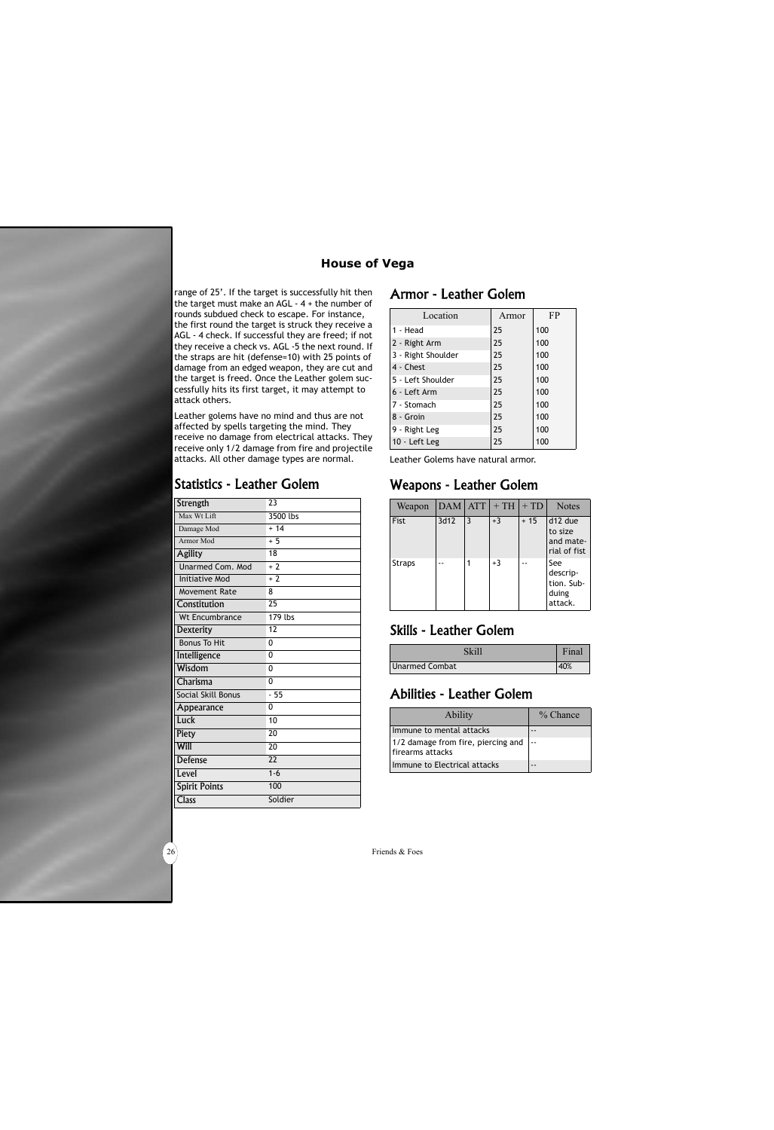#### **House of Vega**

range of 25'. If the target is successfully hit then the target must make an  $AGL - 4 +$  the number of rounds subdued check to escape. For instance, the first round the target is struck they receive a AGL - 4 check. If successful they are freed; if not they receive a check vs. AGL -5 the next round. If the straps are hit (defense=10) with 25 points of damage from an edged weapon, they are cut and the target is freed. Once the Leather golem successfully hits its first target, it may attempt to attack others.

Leather golems have no mind and thus are not affected by spells targeting the mind. They receive no damage from electrical attacks. They receive only 1/2 damage from fire and projectile attacks. All other damage types are normal.

#### Statistics - Leather Golem

| Strength              | $\overline{23}$ |
|-----------------------|-----------------|
| Max Wt Lift           | 3500 lbs        |
| Damage Mod            | $+ 14$          |
| Armor Mod             | $+5$            |
| <b>Agility</b>        | 18              |
| Unarmed Com. Mod      | $+2$            |
| <b>Initiative Mod</b> | $+2$            |
| <b>Movement Rate</b>  | 8               |
| Constitution          | 25              |
| <b>Wt Encumbrance</b> | 179 lbs         |
| <b>Dexterity</b>      | 12              |
| <b>Bonus To Hit</b>   | 0               |
| Intelligence          | 0               |
| Wisdom                | 0               |
| Charisma              | 0               |
| Social Skill Bonus    | $-55$           |
| Appearance            | 0               |
| Luck                  | 10              |
| Piety                 | 20              |
| Will                  | 20              |
| <b>Defense</b>        | 22              |
| Level                 | $1 - 6$         |
| <b>Spirit Points</b>  | 100             |
| <b>Class</b>          | Soldier         |

#### Armor - Leather Golem

| Location           | Armor | FP  |
|--------------------|-------|-----|
| 1 - Head           | 25    | 100 |
| 2 - Right Arm      | 25    | 100 |
| 3 - Right Shoulder | 25    | 100 |
| 4 - Chest          | 25    | 100 |
| 5 - Left Shoulder  | 25    | 100 |
| 6 - Left Arm       | 25    | 100 |
| 7 - Stomach        | 25    | 100 |
| 8 - Groin          | 25    | 100 |
| 9 - Right Leg      | 25    | 100 |
| 10 - Left Leg      | 25    | 100 |

Leather Golems have natural armor.

# Weapons - Leather Golem

| Weapon        | <b>DAM</b> | <b>ATT</b> | $+TH$ | $+TD$ | <b>Notes</b>                                      |
|---------------|------------|------------|-------|-------|---------------------------------------------------|
| Fist          | 3d12       | 3          | $+3$  | $+15$ | d12 due<br>to size<br>and mate-<br>rial of fist   |
| <b>Straps</b> |            |            | $+3$  |       | See<br>descrip-<br>tion. Sub-<br>duing<br>attack. |

# Skills - Leather Golem

| Skill          | Final |
|----------------|-------|
| Unarmed Combat |       |

# Abilities - Leather Golem

| <b>Ability</b>                                         | $\%$ Chance |
|--------------------------------------------------------|-------------|
| Immune to mental attacks                               |             |
| 1/2 damage from fire, piercing and<br>firearms attacks |             |
| Immune to Electrical attacks                           |             |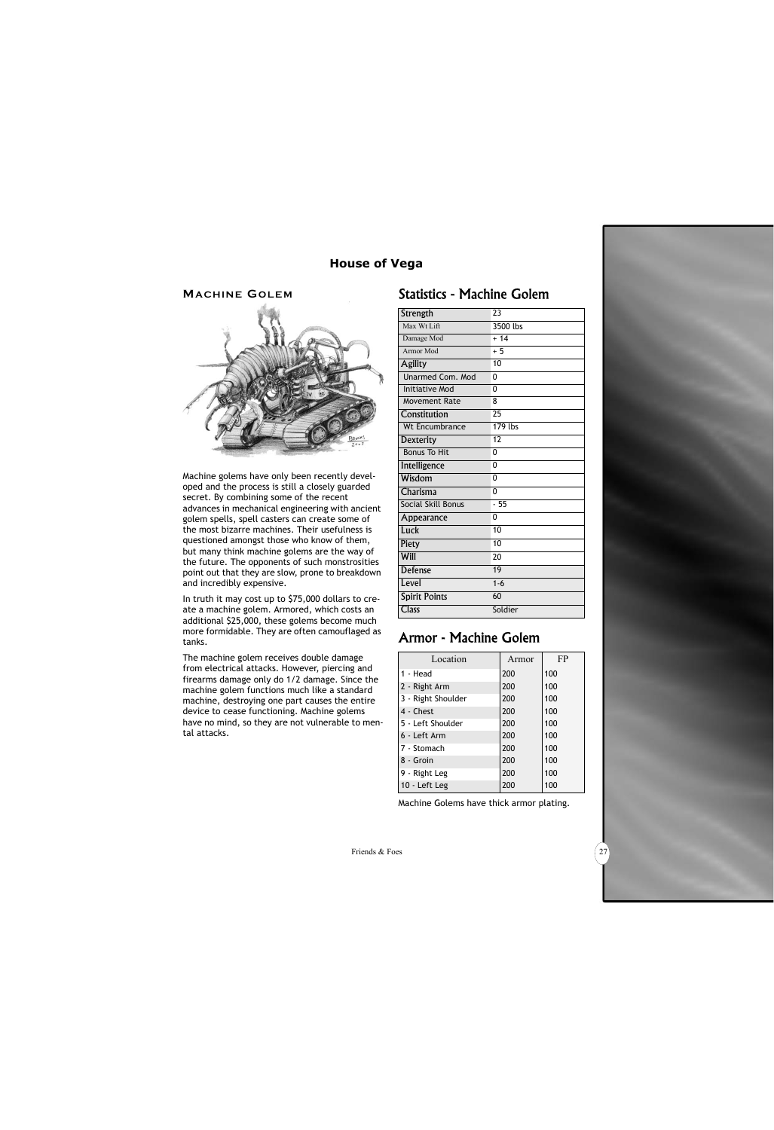#### **MACHINE GOLEM**



Machine golems have only been recently developed and the process is still a closely guarded secret. By combining some of the recent advances in mechanical engineering with ancient golem spells, spell casters can create some of the most bizarre machines. Their usefulness is questioned amongst those who know of them, but many think machine golems are the way of the future. The opponents of such monstrosities point out that they are slow, prone to breakdown and incredibly expensive.

In truth it may cost up to \$75,000 dollars to create a machine golem. Armored, which costs an additional \$25,000, these golems become much more formidable. They are often camouflaged as tanks.

The machine golem receives double damage from electrical attacks. However, piercing and firearms damage only do 1/2 damage. Since the machine golem functions much like a standard machine, destroying one part causes the entire device to cease functioning. Machine golems have no mind, so they are not vulnerable to mental attacks.

#### Statistics - Machine Golem

| Strength                | 23       |
|-------------------------|----------|
| Max Wt Lift             | 3500 lbs |
| Damage Mod              | $+14$    |
| Armor Mod               | $+5$     |
| <b>Agility</b>          | 10       |
| <b>Unarmed Com. Mod</b> | 0        |
| <b>Initiative Mod</b>   | 0        |
| <b>Movement Rate</b>    | 8        |
| Constitution            | 25       |
| <b>Wt Encumbrance</b>   | 179 lbs  |
| <b>Dexterity</b>        | 12       |
| <b>Bonus To Hit</b>     | $\Omega$ |
| Intelligence            | 0        |
| Wisdom                  | 0        |
| Charisma                | 0        |
| Social Skill Bonus      | - 55     |
| Appearance              | 0        |
| Luck                    | 10       |
| Piety                   | 10       |
| Will                    | 20       |
| <b>Defense</b>          | 19       |
| Level                   | $1 - 6$  |
| <b>Spirit Points</b>    | 60       |
| <b>Class</b>            | Soldier  |

# Armor - Machine Golem

| Location           | Armor | FP  |
|--------------------|-------|-----|
| 1 - Head           | 200   | 100 |
| 2 - Right Arm      | 200   | 100 |
| 3 - Right Shoulder | 200   | 100 |
| 4 - Chest          | 200   | 100 |
| 5 - Left Shoulder  | 200   | 100 |
| 6 - Left Arm       | 200   | 100 |
| 7 - Stomach        | 200   | 100 |
| 8 - Groin          | 200   | 100 |
| 9 - Right Leg      | 200   | 100 |
| 10 - Left Leg      | 200   | 100 |

Machine Golems have thick armor plating.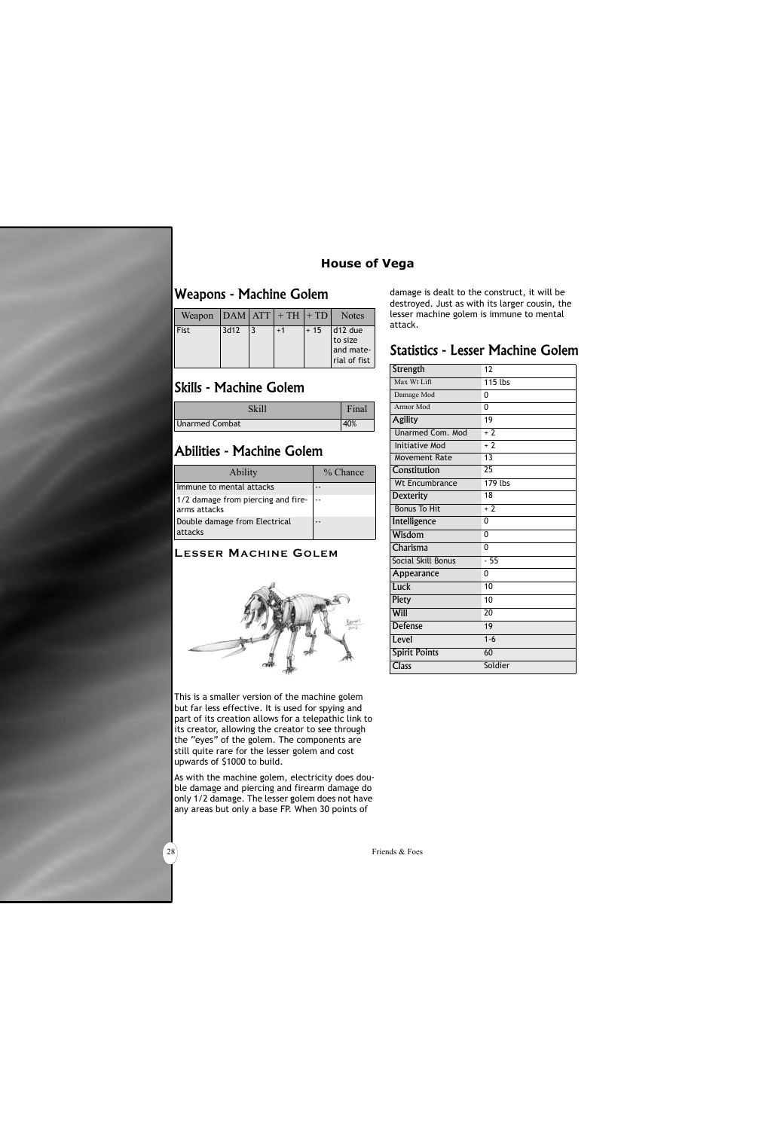#### **House of Vega**

## Weapons - Machine Golem

| Weapon      |      | $ DAM ATT +TH +TD $ |       | <b>Notes</b>                                    |
|-------------|------|---------------------|-------|-------------------------------------------------|
| <b>Fist</b> | 3d12 | $+1$                | $+15$ | d12 due<br>to size<br>and mate-<br>rial of fist |

# Skills - Machine Golem

|                | Final |
|----------------|-------|
| Unarmed Combat |       |

## Abilities - Machine Golem

| <b>Ability</b>                                     | $%$ Chance |
|----------------------------------------------------|------------|
| Immune to mental attacks                           |            |
| 1/2 damage from piercing and fire-<br>arms attacks |            |
| Double damage from Electrical<br>attacks           |            |

#### **LESSER MACHINE GOLEM**



This is a smaller version of the machine golem but far less effective. It is used for spying and part of its creation allows for a telepathic link to its creator, allowing the creator to see through the "eyes" of the golem. The components are still quite rare for the lesser golem and cost upwards of \$1000 to build.

As with the machine golem, electricity does double damage and piercing and firearm damage do only 1/2 damage. The lesser golem does not have any areas but only a base FP. When 30 points of

damage is dealt to the construct, it will be destroyed. Just as with its larger cousin, the lesser machine golem is immune to mental attack.

#### Statistics - Lesser Machine Golem

| Strength              | 12              |
|-----------------------|-----------------|
| Max Wt Lift           | 115 lbs         |
| Damage Mod            | 0               |
| Armor Mod             | $\Omega$        |
| <b>Agility</b>        | 19              |
| Unarmed Com. Mod      | $+2$            |
| <b>Initiative Mod</b> | $+2$            |
| Movement Rate         | 13              |
| Constitution          | 25              |
| Wt Encumbrance        | 179 lbs         |
| <b>Dexterity</b>      | 18              |
| <b>Bonus To Hit</b>   | $+2$            |
| Intelligence          | 0               |
| Wisdom                | 0               |
| Charisma              | 0               |
| Social Skill Bonus    | $-55$           |
| Appearance            | 0               |
| Luck                  | 10              |
| Piety                 | 10              |
| Will                  | $\overline{20}$ |
| <b>Defense</b>        | 19              |
| Level                 | $1 - 6$         |
| <b>Spirit Points</b>  | 60              |
| <b>Class</b>          | Soldier         |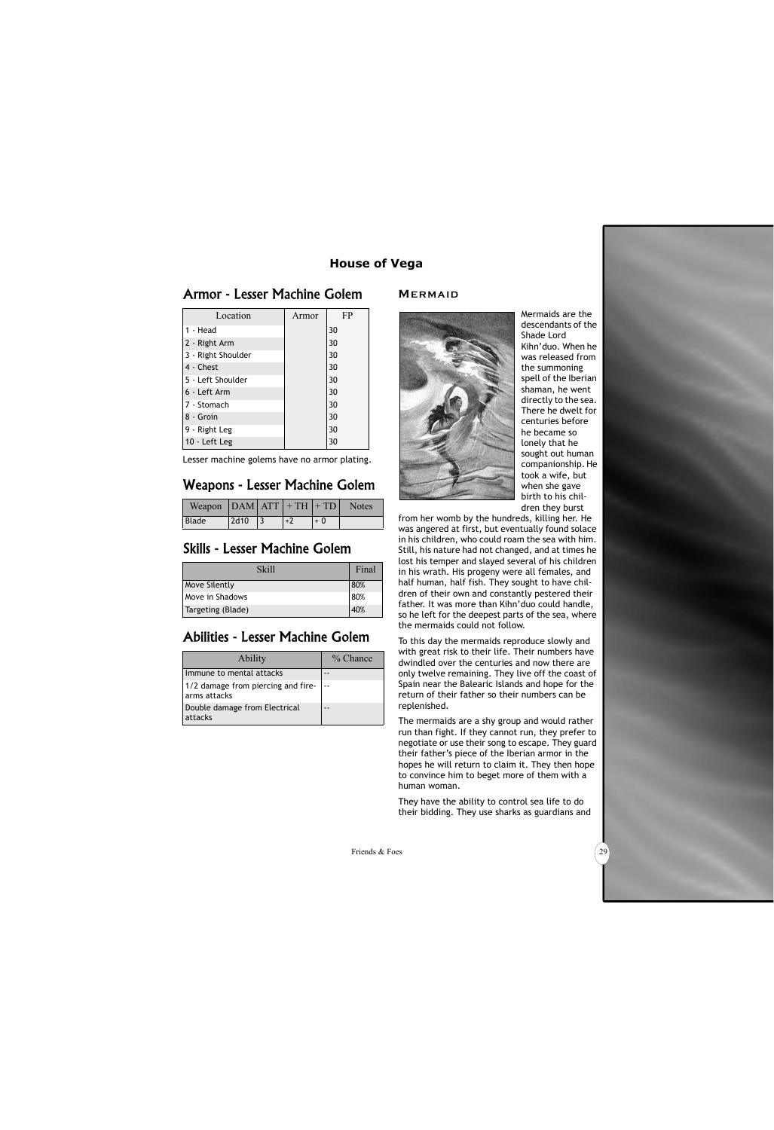#### Armor - Lesser Machine Golem

| Location           | Armor | FP |
|--------------------|-------|----|
| 1 - Head           |       | 30 |
| 2 - Right Arm      |       | 30 |
| 3 - Right Shoulder |       | 30 |
| 4 - Chest          |       | 30 |
| 5 - Left Shoulder  |       | 30 |
| 6 - Left Arm       |       | 30 |
| 7 - Stomach        |       | 30 |
| 8 - Groin          |       | 30 |
| 9 - Right Leg      |       | 30 |
| 10 - Left Leg      |       | 30 |

Lesser machine golems have no armor plating.

## Weapons - Lesser Machine Golem

| Weapon $ DAM ATT  + TH  + TD $ |      |      |      | Notes |
|--------------------------------|------|------|------|-------|
| <b>Blade</b>                   | 2d10 | $+2$ | $+0$ |       |

#### Skills - Lesser Machine Golem

| <b>Skill</b>           | Final |
|------------------------|-------|
| <b>Move Silently</b>   | 80%   |
| <b>Move in Shadows</b> | 80%   |
| Targeting (Blade)      | 40%   |

# Abilities - Lesser Machine Golem

| <b>Ability</b>                                     | % Chance |
|----------------------------------------------------|----------|
| Immune to mental attacks                           |          |
| 1/2 damage from piercing and fire-<br>arms attacks |          |
| Double damage from Electrical<br>attacks           |          |

#### **MERMAID**



Mermaids are the descendants of the Shade Lord Kihn'duo. When he was released from the summoning spell of the Iberian shaman, he went directly to the sea. There he dwelt for centuries before he became so lonely that he sought out human companionship. He took a wife, but when she gave birth to his children they burst

from her womb by the hundreds, killing her. He was angered at first, but eventually found solace in his children, who could roam the sea with him. Still, his nature had not changed, and at times he lost his temper and slayed several of his children in his wrath. His progeny were all females, and half human, half fish. They sought to have children of their own and constantly pestered their father. It was more than Kihn'duo could handle, so he left for the deepest parts of the sea, where the mermaids could not follow.

To this day the mermaids reproduce slowly and with great risk to their life. Their numbers have dwindled over the centuries and now there are only twelve remaining. They live off the coast of Spain near the Balearic Islands and hope for the return of their father so their numbers can be replenished.

The mermaids are a shy group and would rather run than fight. If they cannot run, they prefer to negotiate or use their song to escape. They guard their father's piece of the Iberian armor in the hopes he will return to claim it. They then hope to convince him to beget more of them with a human woman.

They have the ability to control sea life to do their bidding. They use sharks as guardians and